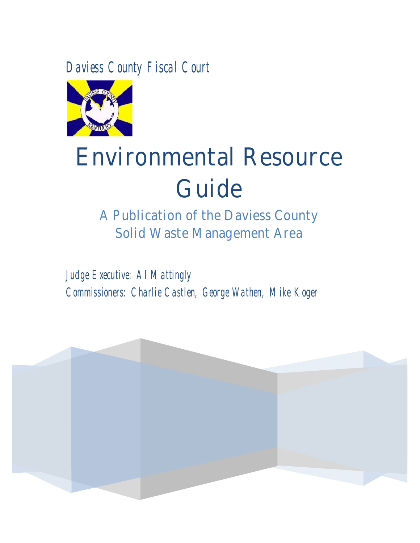*Daviess County Fiscal Court* 



# **Environmental Resource Guide**

**A Publication of the Daviess County Solid Waste Management Area**

*Judge Executive: Al Mattingly Commissioners: Charlie Castlen, George Wathen, Mike Koger*

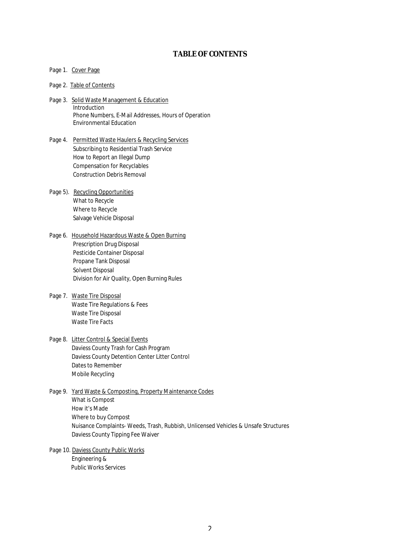## **TABLE OF CONTENTS**

#### Page 1. Cover Page

#### Page 2. Table of Contents

- Page 3. Solid Waste Management & Education **Introduction**  Phone Numbers, E-Mail Addresses, Hours of Operation Environmental Education
- Page 4. Permitted Waste Haulers & Recycling Services Subscribing to Residential Trash Service How to Report an Illegal Dump Compensation for Recyclables Construction Debris Removal
- Page 5). Recycling Opportunities What to Recycle Where to Recycle Salvage Vehicle Disposal
- Page 6. Household Hazardous Waste & Open Burning Prescription Drug Disposal Pesticide Container Disposal Propane Tank Disposal Solvent Disposal Division for Air Quality, Open Burning Rules
- Page 7. Waste Tire Disposal Waste Tire Regulations & Fees Waste Tire Disposal Waste Tire Facts
- Page 8. Litter Control & Special Events Daviess County Trash for Cash Program Daviess County Detention Center Litter Control Dates to Remember Mobile Recycling
- Page 9. Yard Waste & Composting, Property Maintenance Codes What is Compost How it's Made Where to buy Compost Nuisance Complaints- Weeds, Trash, Rubbish, Unlicensed Vehicles & Unsafe Structures Daviess County Tipping Fee Waiver
- Page 10. Daviess County Public Works Engineering & Public Works Services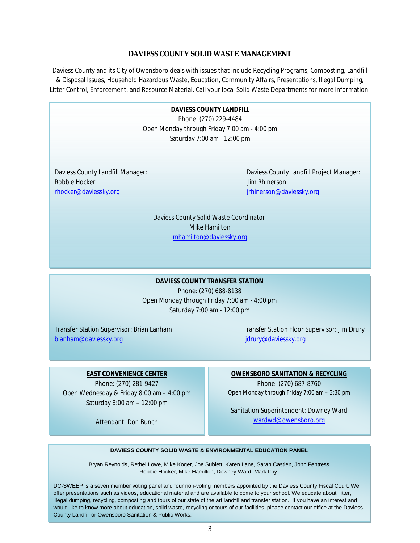## **DAVIESS COUNTY SOLID WASTE MANAGEMENT**

Daviess County and its City of Owensboro deals with issues that include Recycling Programs, Composting, Landfill & Disposal Issues, Household Hazardous Waste, Education, Community Affairs, Presentations, Illegal Dumping, Litter Control, Enforcement, and Resource Material. Call your local Solid Waste Departments for more information.

> **Daviess County Landfill DAVIESS COUNTY LANDFILL**  Phone: (270) 229-4484 Phone: (270) 229-4484 Open Monday through Friday 7:00 am - 4:00 pm Saturday 7:00 am - 12:00 pm

Daviess County Landfill Manager: rhocker@daviessky.org Robbie Hocker Jim Rhinerson Jim Rhinerson

Daviess County Landfill Project Manager: [jrhinerson@daviessky.org](mailto:jrhinerson@daviessky.org)

Daviess County Solid Waste Coordinator: Daviess County Solid Waste Coordinator: Mike Hamilton [mhamilton@daviessky.org](mailto:mhamilton@daviessky.org)

# **DAVIESS COUNTY TRANSFER STATION**  Phone: (270) 688-8138 Open Monday through Friday 7:00 am - 4:00 pm Saturday 7:00 am - 12:00 pm

Transfer Station Supervisor: Brian Lanham Transfer Station Floor Supervisor: Jim Drury [blanham@daviessky.org](mailto:blanham@daviessky.org) [jdrury@daviessky.org](mailto:jdrury@daviessky.org)

# **EAST CONVENIENCE CENTER**

Phone: (270) 281-9427 Open Wednesday & Friday 8:00 am – 4:00 pm Saturday 8:00 am – 12:00 pm

Attendant: Don Bunch

**OWENSBORO SANITATION & RECYCLING**  Phone: (270) 687-8760 Open Monday through Friday 7:00 am – 3:30 pm

Sanitation Superintendent: Downey Ward [wardwd@owensboro.org](mailto:wardwd@owensboro.org) 

#### **DAVIESS COUNTY SOLID WASTE & ENVIRONMENTAL EDUCATION PANEL**

Bryan Reynolds, Rethel Lowe, Mike Koger, Joe Sublett, Karen Lane, Sarah Castlen, John Fentress Robbie Hocker, Mike Hamilton, Downey Ward, Mark Irby.

DC-SWEEP is a seven member voting panel and four non-voting members appointed by the Daviess County Fiscal Court. We offer presentations such as videos, educational material and are available to come to your school. We educate about: litter, illegal dumping, recycling, composting and tours of our state of the art landfill and transfer station. If you have an interest and would like to know more about education, solid waste, recycling or tours of our facilities, please contact our office at the Daviess County Landfill or Owensboro Sanitation & Public Works.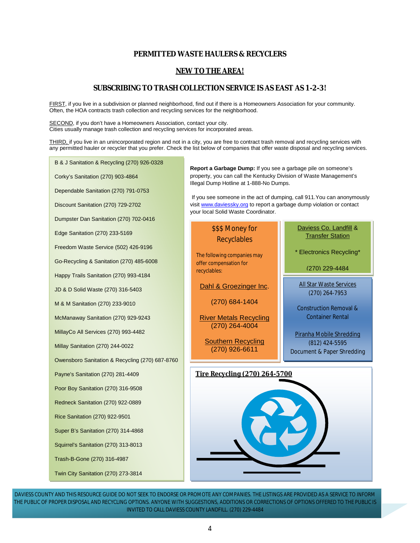## **PERMITTED WASTE HAULERS & RECYCLERS**

## **NEW TO THE AREA!**

## **SUBSCRIBING TO TRASH COLLECTION SERVICE IS AS EAST AS 1-2-3!**

FIRST, if you live in a subdivision or planned neighborhood, find out if there is a Homeowners Association for your community. Often, the HOA contracts trash collection and recycling services for the neighborhood.

SECOND, if you don't have a Homeowners Association, contact your city. Cities usually manage trash collection and recycling services for incorporated areas.

THIRD, if you live in an unincorporated region and not in a city, you are free to contract trash removal and recycling services with any permitted hauler or recycler that you prefer. Check the list below of companies that offer waste disposal and recycling services.

B & J Sanitation & Recycling (270) 926-0328

Corky's Sanitation (270) 903-4864

Dependable Sanitation (270) 791-0753

Discount Sanitation (270) 729-2702

Dumpster Dan Sanitation (270) 702-0416

Edge Sanitation (270) 233-5169

Freedom Waste Service (502) 426-9196

Go-Recycling & Sanitation (270) 485-6008

Happy Trails Sanitation (270) 993-4184

JD & D Solid Waste (270) 316-5403

M & M Sanitation (270) 233-9010

McManaway Sanitation (270) 929-9243

MillayCo All Services (270) 993-4482

Millay Sanitation (270) 244-0022

Owensboro Sanitation & Recycling (270) 687-8760

Payne's Sanitation (270) 281-4409

Poor Boy Sanitation (270) 316-9508

Redneck Sanitation (270) 922-0889

Rice Sanitation (270) 922-9501

Super B's Sanitation (270) 314-4868

Squirrel's Sanitation (270) 313-8013

Trash-B-Gone (270) 316-4987

Twin City Sanitation (270) 273-3814

**Report a Garbage Dump:** If you see a garbage pile on someone's property, you can call the Kentucky Division of Waste Management's Illegal Dump Hotline at 1-888-No Dumps.

 If you see someone in the act of dumping, call 911.You can anonymously visit [www.daviessky.org](http://www.daviessky.org) to report a garbage dump violation or contact your local Solid Waste Coordinator.

## \$\$\$ Money for **Recyclables**

The following companies may offer compensation for recyclables:

Dahl & Groezinger Inc.

(270) 684-1404

River Metals Recycling (270) 264-4004

Southern Recycling (270) 926-6611

# Daviess Co. Landfill & Transfer Station

\* Electronics Recycling\*

(270) 229-4484

All Star Waste Services (270) 264-7953

Construction Removal & Container Rental

Piranha Mobile Shredding (812) 424-5595 Document & Paper Shredding



DAVIESS COUNTY AND THIS RESOURCE GUIDE DO NOT SEEK TO ENDORSE OR PROMOTE ANY COMPANIES. THE LISTINGS ARE PROVIDED AS A SERVICE TO INFORM THE PUBLIC OF PROPER DISPOSAL AND RECYCLING OPTIONS. ANYONE WITH SUGGESTIONS, ADDITIONS OR CORRECTIONS OF OPTIONS OFFERED TO THE PUBLIC IS INVITED TO CALL DAVIESS COUNTY LANDFILL. (270) 229-4484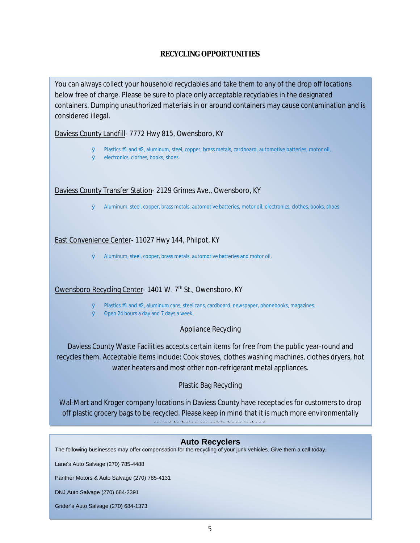## **RECYCLING OPPORTUNITIES**

You can always collect your household recyclables and take them to any of the drop off locations below free of charge. Please be sure to place only acceptable recyclables in the designated containers. Dumping unauthorized materials in or around containers may cause contamination and is considered illegal.

Daviess County Landfill- 7772 Hwy 815, Owensboro, KY

- Ø Plastics #1 and #2, aluminum, steel, copper, brass metals, cardboard, automotive batteries, motor oil,
- Ø electronics, clothes, books, shoes.

Daviess County Transfer Station- 2129 Grimes Ave., Owensboro, KY

Ø Aluminum, steel, copper, brass metals, automotive batteries, motor oil, electronics, clothes, books, shoes.

# East Convenience Center- 11027 Hwy 144, Philpot, KY

Ø Aluminum, steel, copper, brass metals, automotive batteries and motor oil.

# Owensboro Recycling Center- 1401 W. 7<sup>th</sup> St., Owensboro, KY

- Ø Plastics #1 and #2, aluminum cans, steel cans, cardboard, newspaper, phonebooks, magazines.
- Ø Open 24 hours a day and 7 days a week.

# Appliance Recycling

Daviess County Waste Facilities accepts certain items for free from the public year-round and recycles them. Acceptable items include: Cook stoves, clothes washing machines, clothes dryers, hot water heaters and most other non-refrigerant metal appliances.

# Plastic Bag Recycling

Wal-Mart and Kroger company locations in Daviess County have receptacles for customers to drop off plastic grocery bags to be recycled. Please keep in mind that it is much more environmentally sound to bring reusable bags instead.

# **Auto Recyclers**

The following businesses may offer compensation for the recycling of your junk vehicles. Give them a call today.

Lane's Auto Salvage (270) 785-4488

**House**  $\leftarrow$  **Burning**  $\leftarrow$  **B**  $\leftarrow$  **B**  $\leftarrow$  **B**  $\leftarrow$  **B**  $\leftarrow$  **B**  $\leftarrow$  **B**  $\leftarrow$  **B**  $\leftarrow$  **B**  $\leftarrow$  **B**  $\leftarrow$  **B**  $\leftarrow$  **B**  $\leftarrow$  **B**  $\leftarrow$  **B**  $\leftarrow$  **B**  $\leftarrow$  **B**  $\leftarrow$  **B**  $\leftarrow$  **B**  $\leftarrow$  **B**  $\leftarrow$  **B**  $\leftarrow$  **B** Panther Motors & Auto Salvage (270) 785-4131

DNJ Auto Salvage (270) 684-2391

Grider's Auto Salvage (270) 684-1373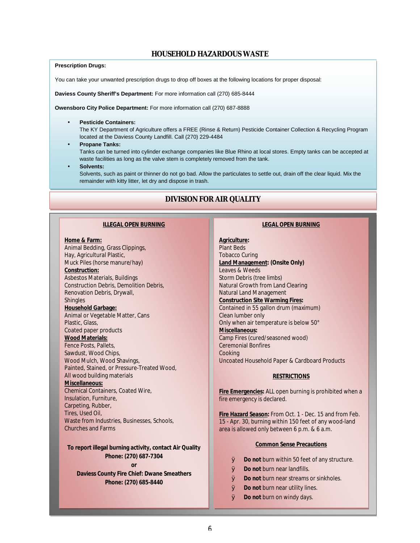## **HOUSEHOLD HAZARDOUS WASTE**

#### **Prescription Drugs:**

You can take your unwanted prescription drugs to drop off boxes at the following locations for proper disposal:

**Daviess County Sheriff's Department:** For more information call (270) 685-8444

**Owensboro City Police Department:** For more information call (270) 687-8888

#### **Pesticide Containers:**

The KY Department of Agriculture offers a FREE (Rinse & Return) Pesticide Container Collection & Recycling Program located at the Daviess County Landfill. Call (270) 229-4484

**Propane Tanks:** 

Tanks can be turned into cylinder exchange companies like Blue Rhino at local stores. Empty tanks can be accepted at waste facilities as long as the valve stem is completely removed from the tank.

**Solvents:** 

l,

Solvents, such as paint or thinner do not go bad. Allow the particulates to settle out, drain off the clear liquid. Mix the remainder with kitty litter, let dry and dispose in trash.

## **DIVISION FOR AIR QUALITY**

#### **ILLEGAL OPEN BURNING**

**Home & Farm:**  Animal Bedding, Grass Clippings, Hay, Agricultural Plastic, Muck Piles (horse manure/hay) **Construction:**  Asbestos Materials, Buildings Construction Debris, Demolition Debris, Renovation Debris, Drywall, Shingles **Household Garbage:**  Animal or Vegetable Matter, Cans Plastic, Glass, Coated paper products **Wood Materials:**  Fence Posts, Pallets, Sawdust, Wood Chips, Wood Mulch, Wood Shavings, Painted, Stained, or Pressure-Treated Wood, All wood building materials **Miscellaneous:**  Chemical Containers, Coated Wire, Insulation, Furniture, Carpeting, Rubber, Tires, Used Oil, Waste from Industries, Businesses, Schools, Churches and Farms

**To report illegal burning activity, contact Air Quality Phone: (270) 687-7304 or** 

**Daviess County Fire Chief: Dwane Smeathers THE Phone: (270) 685-8440** 

#### **LEGAL OPEN BURNING**

**Agriculture:**  Plant Beds Tobacco Curing **Land Management: (Onsite Only)**  Leaves & Weeds Storm Debris (tree limbs) Natural Growth from Land Clearing Natural Land Management **Construction Site Warming Fires:**  Contained in 55 gallon drum (maximum) Clean lumber only Only when air temperature is below 50° **Miscellaneous:**  Camp Fires (cured/seasoned wood) Ceremonial Bonfires Cooking Uncoated Household Paper & Cardboard Products

#### **RESTRICTIONS**

**Fire Emergencies:** ALL open burning is prohibited when a fire emergency is declared.

**Fire Hazard Season:** From Oct. 1 - Dec. 15 and from Feb. 15 - Apr. 30, burning within 150 feet of any wood-land area is allowed only between 6 p.m. & 6 a.m.

#### **Common Sense Precautions**

- Ø **Do not** burn within 50 feet of any structure.
- Ø **Do not** burn near landfills.
- Ø **Do not** burn near streams or sinkholes.
- **WASTER OF STATE OF STATE OF STATE OF STATE OF STATE OF STATE OF STATE OF STATE OF STATE OF STATE OF STATE OF STATE OF STATE OF STATE OF STATE OF STATE OF STATE OF STATE OF STATE OF STATE OF STATE OF STATE OF STATE OF STAT** 
	- Ø **Do not** burn on windy days.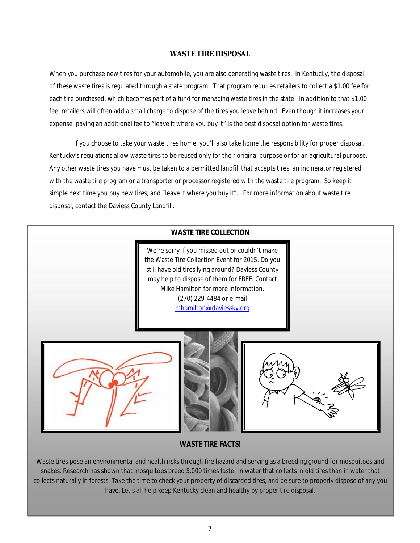## **WASTE TIRE DISPOSAL**

When you purchase new tires for your automobile, you are also generating waste tires. In Kentucky, the disposal of these waste tires is regulated through a state program. That program requires retailers to collect a \$1.00 fee for each tire purchased, which becomes part of a fund for managing waste tires in the state. In addition to that \$1.00 fee, retailers will often add a small charge to dispose of the tires you leave behind. Even though it increases your expense, paying an additional fee to "leave it where you buy it" is the best disposal option for waste tires.

If you choose to take your waste tires home, you'll also take home the responsibility for proper disposal. Kentucky's regulations allow waste tires to be reused only for their original purpose or for an agricultural purpose. Any other waste tires you have must be taken to a permitted landfill that accepts tires, an incinerator registered with the waste tire program or a transporter or processor registered with the waste tire program. So keep it simple next time you buy new tires, and "leave it where you buy it". For more information about waste tire disposal, contact the Daviess County Landfill.



## **WASTE TIRE FACTS!**

Waste tires pose an environmental and health risks through fire hazard and serving as a breeding ground for mosquitoes and snakes. Research has shown that mosquitoes breed 5,000 times faster in water that collects in old tires than in water that collects naturally in forests. Take the time to check your property of discarded tires, and be sure to properly dispose of any you have. Let's all help keep Kentucky clean and healthy by proper tire disposal.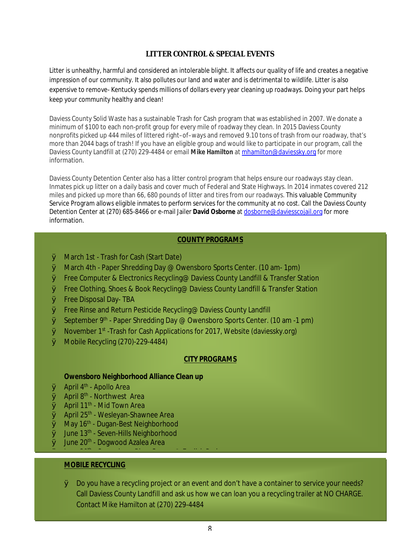## **LITTER CONTROL & SPECIAL EVENTS**

Litter is unhealthy, harmful and considered an intolerable blight. It affects our quality of life and creates a negative impression of our community. It also pollutes our land and water and is detrimental to wildlife. Litter is also expensive to remove- Kentucky spends millions of dollars every year cleaning up roadways. Doing your part helps keep your community healthy and clean!

Daviess County Solid Waste has a sustainable Trash for Cash program that was established in 2007. We donate a minimum of \$100 to each non-profit group for every mile of roadway they clean. In 2015 Daviess County nonprofits picked up 444 miles of littered right–of–ways and removed 9.10 tons of trash from our roadway, that's more than 2044 bags of trash! If you have an eligible group and would like to participate in our program, call the Daviess County Landfill at (270) 229-4484 or email **Mike Hamilton** at [mhamilton@daviessky.org](mailto:mhamilton@daviessky.org) for more information.

Daviess County Detention Center also has a litter control program that helps ensure our roadways stay clean. Inmates pick up litter on a daily basis and cover much of Federal and State Highways. In 2014 inmates covered 212 miles and picked up more than 66, 680 pounds of litter and tires from our roadways. This valuable Community Service Program allows eligible inmates to perform services for the community at no cost. Call the Daviess County Detention Center at (270) 685-8466 or e-mail Jailer **David Osborne** at [dosborne@daviesscojail.org](mailto:dosborne@daviesscojail.org) for more information.

## **COUNTY PROGRAMS**

- Ø March 1st Trash for Cash (Start Date)
- Ø March 4th Paper Shredding Day @ Owensboro Sports Center. (10 am- 1pm)
- Ø Free Computer & Electronics Recycling@ Daviess County Landfill & Transfer Station
- Ø Free Clothing, Shoes & Book Recycling@ Daviess County Landfill & Transfer Station
- Ø Free Disposal Day- TBA
- Ø Free Rinse and Return Pesticide Recycling@ Daviess County Landfill

- Owensboro River Sweep @ English Park

- $\emptyset$  September 9<sup>th</sup> Paper Shredding Day @ Owensboro Sports Center. (10 am -1 pm)
- $\varnothing$  November 1<sup>st</sup> -Trash for Cash Applications for 2017, Website (daviessky.org)
- Ø Mobile Recycling (270)-229-4484)

## **CITY PROGRAMS**

**Owensboro Neighborhood Alliance Clean up** 

- $\emptyset$  April 4<sup>th</sup> Apollo Area
- $\emptyset$  April 8<sup>th</sup> Northwest Area
- $\emptyset$  April 11<sup>th</sup> Mid Town Area
- $\emptyset$  April 25<sup>th</sup> Wesleyan-Shawnee Area
- $\emptyset$  May 16<sup>th</sup> Dugan-Best Neighborhood
- Ø June 13<sup>th</sup> Seven-Hills Neighborhood
- $\emptyset$  June 20<sup>th</sup> Dogwood Azalea Area

# **MOBILE RECYCLING**

Ø June 20th

Ø Do you have a recycling project or an event and don't have a container to service your needs? Call Daviess County Landfill and ask us how we can loan you a recycling trailer at NO CHARGE. Contact Mike Hamilton at (270) 229-4484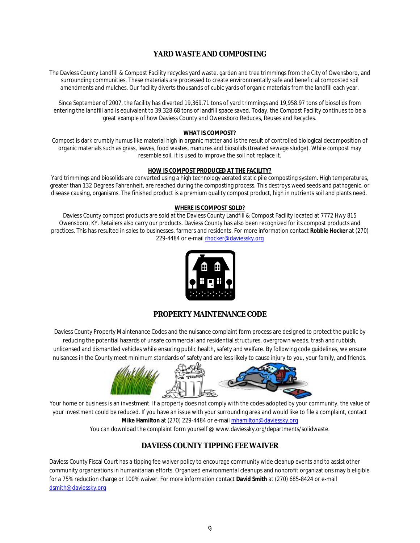# **YARD WASTE AND COMPOSTING**

The Daviess County Landfill & Compost Facility recycles yard waste, garden and tree trimmings from the City of Owensboro, and surrounding communities. These materials are processed to create environmentally safe and beneficial composted soil amendments and mulches. Our facility diverts thousands of cubic yards of organic materials from the landfill each year.

Since September of 2007, the facility has diverted 19,369.71 tons of yard trimmings and 19,958.97 tons of biosolids from entering the landfill and is equivalent to 39,328.68 tons of landfill space saved. Today, the Compost Facility continues to be a great example of how Daviess County and Owensboro Reduces, Reuses and Recycles.

#### **WHAT IS COMPOST?**

Compost is dark crumbly humus like material high in organic matter and is the result of controlled biological decomposition of organic materials such as grass, leaves, food wastes, manures and biosolids (treated sewage sludge). While compost may resemble soil, it is used to improve the soil not replace it.

#### **HOW IS COMPOST PRODUCED AT THE FACILITY?**

Yard trimmings and biosolids are converted using a high technology aerated static pile composting system. High temperatures, greater than 132 Degrees Fahrenheit, are reached during the composting process. This destroys weed seeds and pathogenic, or disease causing, organisms. The finished product is a premium quality compost product, high in nutrients soil and plants need.

#### **WHERE IS COMPOST SOLD?**

Daviess County compost products are sold at the Daviess County Landfill & Compost Facility located at 7772 Hwy 815 Owensboro, KY. Retailers also carry our products. Daviess County has also been recognized for its compost products and practices. This has resulted in sales to businesses, farmers and residents. For more information contact **Robbie Hocker** at (270) 229-4484 or e-mail [rhocker@daviessky.org](mailto:rhocker@daviessky.org)



## **PROPERTY MAINTENANCE CODE**

Daviess County Property Maintenance Codes and the nuisance complaint form process are designed to protect the public by reducing the potential hazards of unsafe commercial and residential structures, overgrown weeds, trash and rubbish, unlicensed and dismantled vehicles while ensuring public health, safety and welfare. By following code guidelines, we ensure nuisances in the County meet minimum standards of safety and are less likely to cause injury to you, your family, and friends.



Your home or business is an investment. If a property does not comply with the codes adopted by your community, the value of your investment could be reduced. If you have an issue with your surrounding area and would like to file a complaint, contact **Mike Hamilton** at (270) 229-4484 or e-mail [mhamilton@daviessky.org](mailto:mhamilton@daviessky.org) You can download the complaint form yourself @ [www.daviessky.org/departments/solidwaste.](http://www.daviessky.org/departments/solidwaste)

## **DAVIESS COUNTY TIPPING FEE WAIVER**

Daviess County Fiscal Court has a tipping fee waiver policy to encourage community wide cleanup events and to assist other community organizations in humanitarian efforts. Organized environmental cleanups and nonprofit organizations may b eligible for a 75% reduction charge or 100% waiver. For more information contact **David Smith** at (270) 685-8424 or e-mail [dsmith@daviessky.org](mailto:dsmith@daviessky.org)